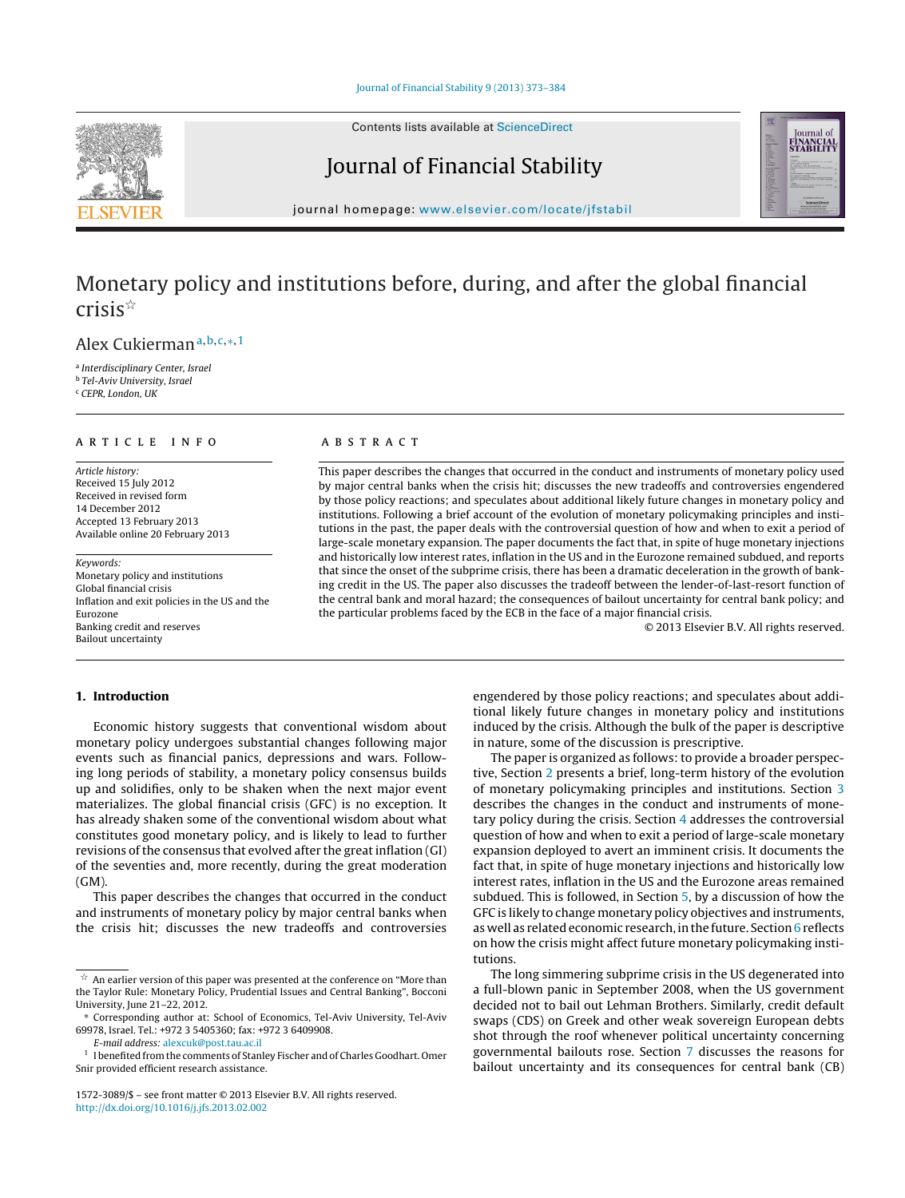Contents lists available at [ScienceDirect](http://www.sciencedirect.com/science/journal/15723089)

# Journal of Financial Stability



## Monetary policy and institutions before, during, and after the global financial crisis $\overline{\mathbf{r}}$

## Alex Cukierman<sup>a,b,c,∗,1</sup>

<sup>a</sup> Interdisciplinary Center, Israel <sup>b</sup> Tel-Aviv University, Israel <sup>c</sup> CEPR, London, UK

#### a r t i c l e i n f o

Article history: Received 15 July 2012 Received in revised form 14 December 2012 Accepted 13 February 2013 Available online 20 February 2013

Keywords: Monetary policy and institutions Global financial crisis Inflation and exit policies in the US and the Eurozone Banking credit and reserves Bailout uncertainty

## A B S T R A C T

This paper describes the changes that occurred in the conduct and instruments of monetary policy used by major central banks when the crisis hit; discusses the new tradeoffs and controversies engendered by those policy reactions; and speculates about additional likely future changes in monetary policy and institutions. Following a brief account of the evolution of monetary policymaking principles and institutions in the past, the paper deals with the controversial question of how and when to exit a period of large-scale monetary expansion. The paper documents the fact that, in spite of huge monetary injections and historically low interest rates, inflation in the US and in the Eurozone remained subdued, and reports that since the onset of the subprime crisis, there has been a dramatic deceleration in the growth of banking credit in the US. The paper also discusses the tradeoff between the lender-of-last-resort function of the central bank and moral hazard; the consequences of bailout uncertainty for central bank policy; and the particular problems faced by the ECB in the face of a major financial crisis.

© 2013 Elsevier B.V. All rights reserved.

FÍNANCIA)<br>STABILIT

## **1. Introduction**

Economic history suggests that conventional wisdom about monetary policy undergoes substantial changes following major events such as financial panics, depressions and wars. Following long periods of stability, a monetary policy consensus builds up and solidifies, only to be shaken when the next major event materializes. The global financial crisis (GFC) is no exception. It has already shaken some of the conventional wisdom about what constitutes good monetary policy, and is likely to lead to further revisions of the consensus that evolved after the great inflation (GI) of the seventies and, more recently, during the great moderation (GM).

This paper describes the changes that occurred in the conduct and instruments of monetary policy by major central banks when the crisis hit; discusses the new tradeoffs and controversies

E-mail address: [alexcuk@post.tau.ac.il](mailto:alexcuk@post.tau.ac.il)

engendered by those policy reactions; and speculates about additional likely future changes in monetary policy and institutions induced by the crisis. Although the bulk of the paper is descriptive in nature, some of the discussion is prescriptive.

The paper is organized as follows: to provide a broader perspective, Section [2](#page-1-0) presents a brief, long-term history of the evolution of monetary policymaking principles and institutions. Section [3](#page-1-0) describes the changes in the conduct and instruments of monetary policy during the crisis. Section [4](#page-2-0) addresses the controversial question of how and when to exit a period of large-scale monetary expansion deployed to avert an imminent crisis. It documents the fact that, in spite of huge monetary injections and historically low interest rates, inflation in the US and the Eurozone areas remained subdued. This is followed, in Section [5,](#page-6-0) by a discussion of how the GFC is likely to change monetary policy objectives and instruments, as well as related economic research, in the future. Section [6](#page-7-0) reflects on how the crisis might affect future monetary policymaking institutions.

The long simmering subprime crisis in the US degenerated into a full-blown panic in September 2008, when the US government decided not to bail out Lehman Brothers. Similarly, credit default swaps (CDS) on Greek and other weak sovereign European debts shot through the roof whenever political uncertainty concerning governmental bailouts rose. Section [7](#page-8-0) discusses the reasons for bailout uncertainty and its consequences for central bank (CB)



 $^\star \,$  An earlier version of this paper was presented at the conference on "More than the Taylor Rule: Monetary Policy, Prudential Issues and Central Banking", Bocconi University, June 21–22, 2012.

<sup>∗</sup> Corresponding author at: School of Economics, Tel-Aviv University, Tel-Aviv 69978, Israel. Tel.: +972 3 5405360; fax: +972 3 6409908.

<sup>1</sup> I benefited from the comments of Stanley Fischer and of Charles Goodhart. Omer Snir provided efficient research assistance.

<sup>1572-3089/\$</sup> – see front matter © 2013 Elsevier B.V. All rights reserved. [http://dx.doi.org/10.1016/j.jfs.2013.02.002](dx.doi.org/10.1016/j.jfs.2013.02.002)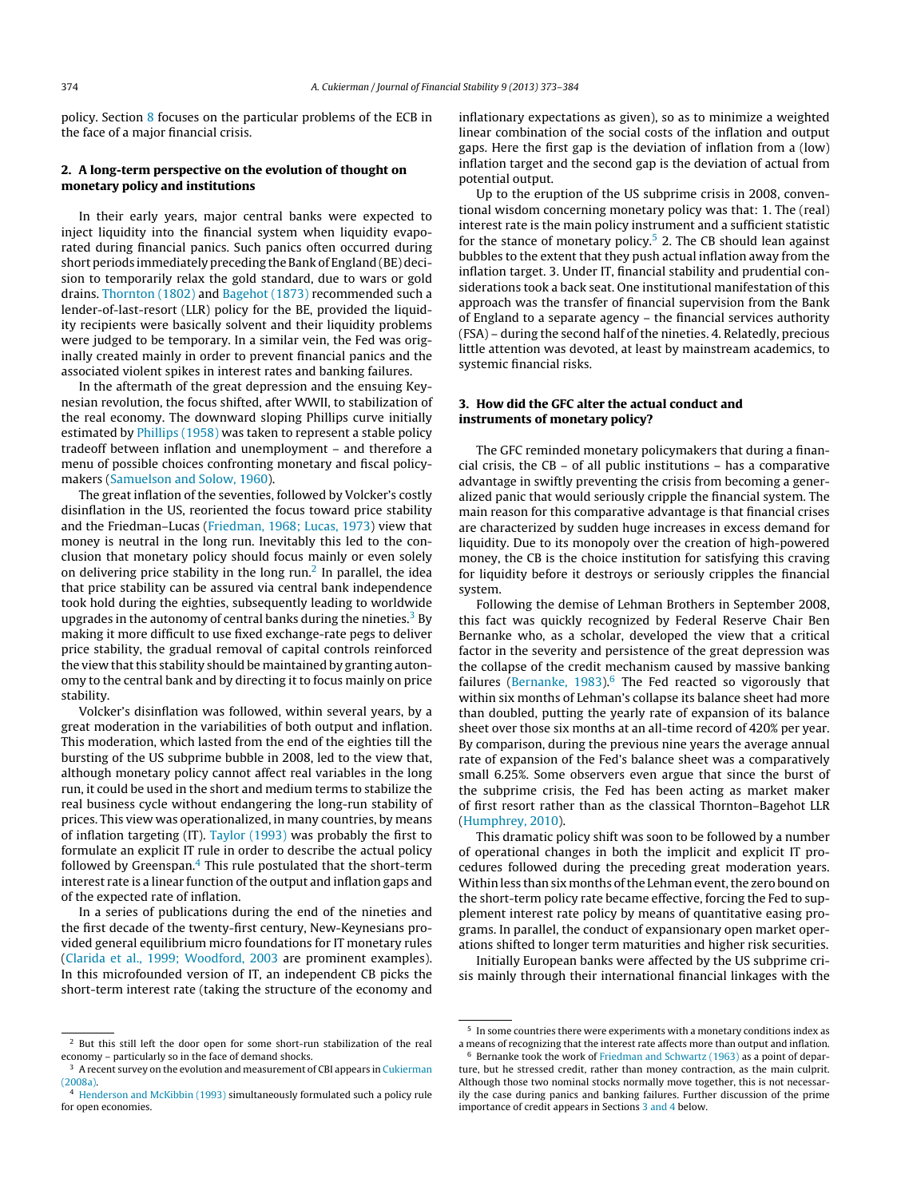<span id="page-1-0"></span>policy. Section [8](#page-9-0) focuses on the particular problems of the ECB in the face of a major financial crisis.

## **2. A long-term perspective on the evolution of thought on monetary policy and institutions**

In their early years, major central banks were expected to inject liquidity into the financial system when liquidity evaporated during financial panics. Such panics often occurred during short periods immediately preceding the Bank of England (BE) decision to temporarily relax the gold standard, due to wars or gold drains. [Thornton](#page-11-0) [\(1802\)](#page-11-0) and [Bagehot](#page-10-0) [\(1873\)](#page-10-0) recommended such a lender-of-last-resort (LLR) policy for the BE, provided the liquidity recipients were basically solvent and their liquidity problems were judged to be temporary. In a similar vein, the Fed was originally created mainly in order to prevent financial panics and the associated violent spikes in interest rates and banking failures.

In the aftermath of the great depression and the ensuing Keynesian revolution, the focus shifted, after WWII, to stabilization of the real economy. The downward sloping Phillips curve initially estimated by [Phillips](#page-11-0) [\(1958\)](#page-11-0) was taken to represent a stable policy tradeoff between inflation and unemployment – and therefore a menu of possible choices confronting monetary and fiscal policymakers [\(Samuelson](#page-11-0) [and](#page-11-0) [Solow,](#page-11-0) [1960\).](#page-11-0)

The great inflation of the seventies, followed by Volcker's costly disinflation in the US, reoriented the focus toward price stability and the Friedman–Lucas [\(Friedman,](#page-11-0) [1968;](#page-11-0) [Lucas,](#page-11-0) [1973\)](#page-11-0) view that money is neutral in the long run. Inevitably this led to the conclusion that monetary policy should focus mainly or even solely on delivering price stability in the long run.<sup>2</sup> In parallel, the idea that price stability can be assured via central bank independence took hold during the eighties, subsequently leading to worldwide upgrades in the autonomy of central banks during the nineties.<sup>3</sup> By making it more difficult to use fixed exchange-rate pegs to deliver price stability, the gradual removal of capital controls reinforced the view that this stability should be maintained by granting autonomy to the central bank and by directing it to focus mainly on price stability.

Volcker's disinflation was followed, within several years, by a great moderation in the variabilities of both output and inflation. This moderation, which lasted from the end of the eighties till the bursting of the US subprime bubble in 2008, led to the view that, although monetary policy cannot affect real variables in the long run, it could be used in the short and medium terms to stabilize the real business cycle without endangering the long-run stability of prices. This view was operationalized, in many countries, by means of inflation targeting (IT). [Taylor](#page-11-0) [\(1993\)](#page-11-0) was probably the first to formulate an explicit IT rule in order to describe the actual policy followed by Greenspan.<sup>4</sup> This rule postulated that the short-term interest rate is a linear function of the output and inflation gaps and of the expected rate of inflation.

In a series of publications during the end of the nineties and the first decade of the twenty-first century, New-Keynesians provided general equilibrium micro foundations for IT monetary rules ([Clarida](#page-10-0) et [al.,](#page-10-0) [1999;](#page-10-0) [Woodford,](#page-10-0) [2003](#page-10-0) are prominent examples). In this microfounded version of IT, an independent CB picks the short-term interest rate (taking the structure of the economy and inflationary expectations as given), so as to minimize a weighted linear combination of the social costs of the inflation and output gaps. Here the first gap is the deviation of inflation from a (low) inflation target and the second gap is the deviation of actual from potential output.

Up to the eruption of the US subprime crisis in 2008, conventional wisdom concerning monetary policy was that: 1. The (real) interest rate is the main policy instrument and a sufficient statistic for the stance of monetary policy.<sup>5</sup> 2. The CB should lean against bubbles to the extent that they push actual inflation away from the inflation target. 3. Under IT, financial stability and prudential considerations took a back seat. One institutional manifestation of this approach was the transfer of financial supervision from the Bank of England to a separate agency – the financial services authority (FSA) – during the second half of the nineties. 4. Relatedly, precious little attention was devoted, at least by mainstream academics, to systemic financial risks.

## **3. How did the GFC alter the actual conduct and instruments of monetary policy?**

The GFC reminded monetary policymakers that during a financial crisis, the CB – of all public institutions – has a comparative advantage in swiftly preventing the crisis from becoming a generalized panic that would seriously cripple the financial system. The main reason for this comparative advantage is that financial crises are characterized by sudden huge increases in excess demand for liquidity. Due to its monopoly over the creation of high-powered money, the CB is the choice institution for satisfying this craving for liquidity before it destroys or seriously cripples the financial system.

Following the demise of Lehman Brothers in September 2008, this fact was quickly recognized by Federal Reserve Chair Ben Bernanke who, as a scholar, developed the view that a critical factor in the severity and persistence of the great depression was the collapse of the credit mechanism caused by massive banking failures ([Bernanke,](#page-10-0) 1983). $6$  The Fed reacted so vigorously that within six months of Lehman's collapse its balance sheet had more than doubled, putting the yearly rate of expansion of its balance sheet over those six months at an all-time record of 420% per year. By comparison, during the previous nine years the average annual rate of expansion of the Fed's balance sheet was a comparatively small 6.25%. Some observers even argue that since the burst of the subprime crisis, the Fed has been acting as market maker of first resort rather than as the classical Thornton–Bagehot LLR ([Humphrey,](#page-11-0) [2010\).](#page-11-0)

This dramatic policy shift was soon to be followed by a number of operational changes in both the implicit and explicit IT procedures followed during the preceding great moderation years. Within less than six months of the Lehman event, the zero bound on the short-term policy rate became effective, forcing the Fed to supplement interest rate policy by means of quantitative easing programs. In parallel, the conduct of expansionary open market operations shifted to longer term maturities and higher risk securities.

Initially European banks were affected by the US subprime crisis mainly through their international financial linkages with the

 $2$  But this still left the door open for some short-run stabilization of the real economy – particularly so in the face of demand shocks.

<sup>&</sup>lt;sup>3</sup> A recent survey on the evolution and measurement of CBI appears in [Cukierman](#page-10-0) [\(2008a\).](#page-10-0)

<sup>4</sup> [Henderson](#page-11-0) [and](#page-11-0) [McKibbin](#page-11-0) [\(1993\)](#page-11-0) simultaneously formulated such a policy rule for open economies.

 $^{\rm 5}$  In some countries there were experiments with a monetary conditions index as a means of recognizing that the interest rate affects more than output and inflation.

<sup>6</sup> Bernanke took the work of [Friedman](#page-11-0) [and](#page-11-0) [Schwartz](#page-11-0) [\(1963\)](#page-11-0) as a point of departure, but he stressed credit, rather than money contraction, as the main culprit. Although those two nominal stocks normally move together, this is not necessarily the case during panics and banking failures. Further discussion of the prime importance of credit appears in Sections 3 and 4 below.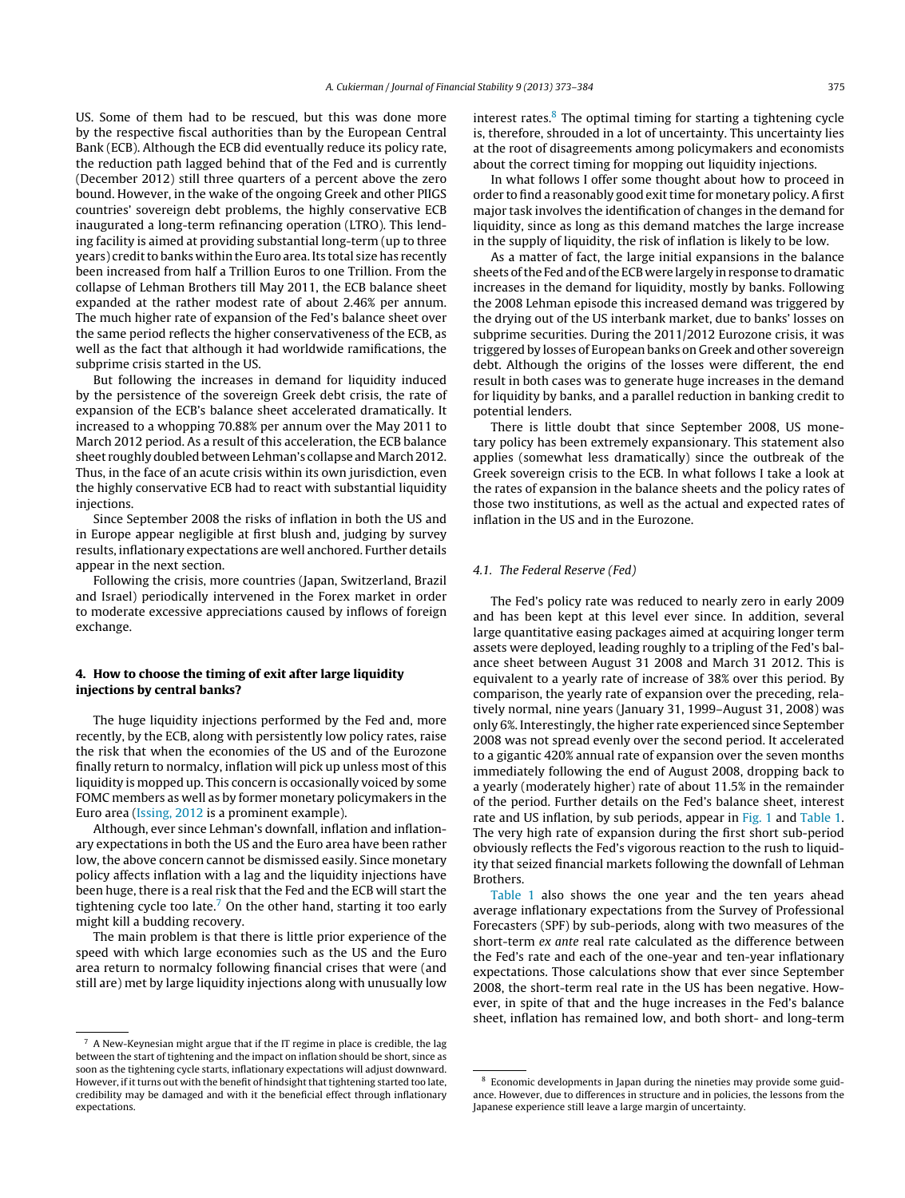<span id="page-2-0"></span>US. Some of them had to be rescued, but this was done more by the respective fiscal authorities than by the European Central Bank (ECB). Although the ECB did eventually reduce its policy rate, the reduction path lagged behind that of the Fed and is currently (December 2012) still three quarters of a percent above the zero bound. However, in the wake of the ongoing Greek and other PIIGS countries' sovereign debt problems, the highly conservative ECB inaugurated a long-term refinancing operation (LTRO). This lending facility is aimed at providing substantial long-term (up to three years) credit to banks within the Euro area. Its total size has recently been increased from half a Trillion Euros to one Trillion. From the collapse of Lehman Brothers till May 2011, the ECB balance sheet expanded at the rather modest rate of about 2.46% per annum. The much higher rate of expansion of the Fed's balance sheet over the same period reflects the higher conservativeness of the ECB, as well as the fact that although it had worldwide ramifications, the subprime crisis started in the US.

But following the increases in demand for liquidity induced by the persistence of the sovereign Greek debt crisis, the rate of expansion of the ECB's balance sheet accelerated dramatically. It increased to a whopping 70.88% per annum over the May 2011 to March 2012 period. As a result of this acceleration, the ECB balance sheet roughly doubled between Lehman's collapse and March 2012. Thus, in the face of an acute crisis within its own jurisdiction, even the highly conservative ECB had to react with substantial liquidity injections.

Since September 2008 the risks of inflation in both the US and in Europe appear negligible at first blush and, judging by survey results, inflationary expectations are well anchored. Further details appear in the next section.

Following the crisis, more countries (Japan, Switzerland, Brazil and Israel) periodically intervened in the Forex market in order to moderate excessive appreciations caused by inflows of foreign exchange.

## **4. How to choose the timing of exit after large liquidity injections by central banks?**

The huge liquidity injections performed by the Fed and, more recently, by the ECB, along with persistently low policy rates, raise the risk that when the economies of the US and of the Eurozone finally return to normalcy, inflation will pick up unless most of this liquidity is mopped up. This concern is occasionally voiced by some FOMC members as well as by former monetary policymakers in the Euro area [\(Issing,](#page-11-0) [2012](#page-11-0) is a prominent example).

Although, ever since Lehman's downfall, inflation and inflationary expectations in both the US and the Euro area have been rather low, the above concern cannot be dismissed easily. Since monetary policy affects inflation with a lag and the liquidity injections have been huge, there is a real risk that the Fed and the ECB will start the tightening cycle too late. $\frac{7}{10}$  On the other hand, starting it too early might kill a budding recovery.

The main problem is that there is little prior experience of the speed with which large economies such as the US and the Euro area return to normalcy following financial crises that were (and still are) met by large liquidity injections along with unusually low interest rates. $8$  The optimal timing for starting a tightening cycle is, therefore, shrouded in a lot of uncertainty. This uncertainty lies at the root of disagreements among policymakers and economists about the correct timing for mopping out liquidity injections.

In what follows I offer some thought about how to proceed in order to find a reasonably good exit time for monetary policy. A first major task involves the identification of changes in the demand for liquidity, since as long as this demand matches the large increase in the supply of liquidity, the risk of inflation is likely to be low.

As a matter of fact, the large initial expansions in the balance sheets of the Fed and of the ECB were largely in response to dramatic increases in the demand for liquidity, mostly by banks. Following the 2008 Lehman episode this increased demand was triggered by the drying out of the US interbank market, due to banks' losses on subprime securities. During the 2011/2012 Eurozone crisis, it was triggered by losses of European banks on Greek and other sovereign debt. Although the origins of the losses were different, the end result in both cases was to generate huge increases in the demand for liquidity by banks, and a parallel reduction in banking credit to potential lenders.

There is little doubt that since September 2008, US monetary policy has been extremely expansionary. This statement also applies (somewhat less dramatically) since the outbreak of the Greek sovereign crisis to the ECB. In what follows I take a look at the rates of expansion in the balance sheets and the policy rates of those two institutions, as well as the actual and expected rates of inflation in the US and in the Eurozone.

#### 4.1. The Federal Reserve (Fed)

The Fed's policy rate was reduced to nearly zero in early 2009 and has been kept at this level ever since. In addition, several large quantitative easing packages aimed at acquiring longer term assets were deployed, leading roughly to a tripling of the Fed's balance sheet between August 31 2008 and March 31 2012. This is equivalent to a yearly rate of increase of 38% over this period. By comparison, the yearly rate of expansion over the preceding, relatively normal, nine years (January 31, 1999–August 31, 2008) was only 6%. Interestingly, the higher rate experienced since September 2008 was not spread evenly over the second period. It accelerated to a gigantic 420% annual rate of expansion over the seven months immediately following the end of August 2008, dropping back to a yearly (moderately higher) rate of about 11.5% in the remainder of the period. Further details on the Fed's balance sheet, interest rate and US inflation, by sub periods, appear in [Fig.](#page-3-0) 1 and [Table](#page-3-0) 1. The very high rate of expansion during the first short sub-period obviously reflects the Fed's vigorous reaction to the rush to liquidity that seized financial markets following the downfall of Lehman Brothers.

[Table](#page-3-0) 1 also shows the one year and the ten years ahead average inflationary expectations from the Survey of Professional Forecasters (SPF) by sub-periods, along with two measures of the short-term ex ante real rate calculated as the difference between the Fed's rate and each of the one-year and ten-year inflationary expectations. Those calculations show that ever since September 2008, the short-term real rate in the US has been negative. However, in spite of that and the huge increases in the Fed's balance sheet, inflation has remained low, and both short- and long-term

<sup>7</sup> A New-Keynesian might argue that if the IT regime in place is credible, the lag between the start of tightening and the impact on inflation should be short, since as soon as the tightening cycle starts, inflationary expectations will adjust downward. However, if it turns out with the benefit of hindsight that tightening started too late, credibility may be damaged and with it the beneficial effect through inflationary expectations.

<sup>8</sup> Economic developments in Japan during the nineties may provide some guidance. However, due to differences in structure and in policies, the lessons from the Japanese experience still leave a large margin of uncertainty.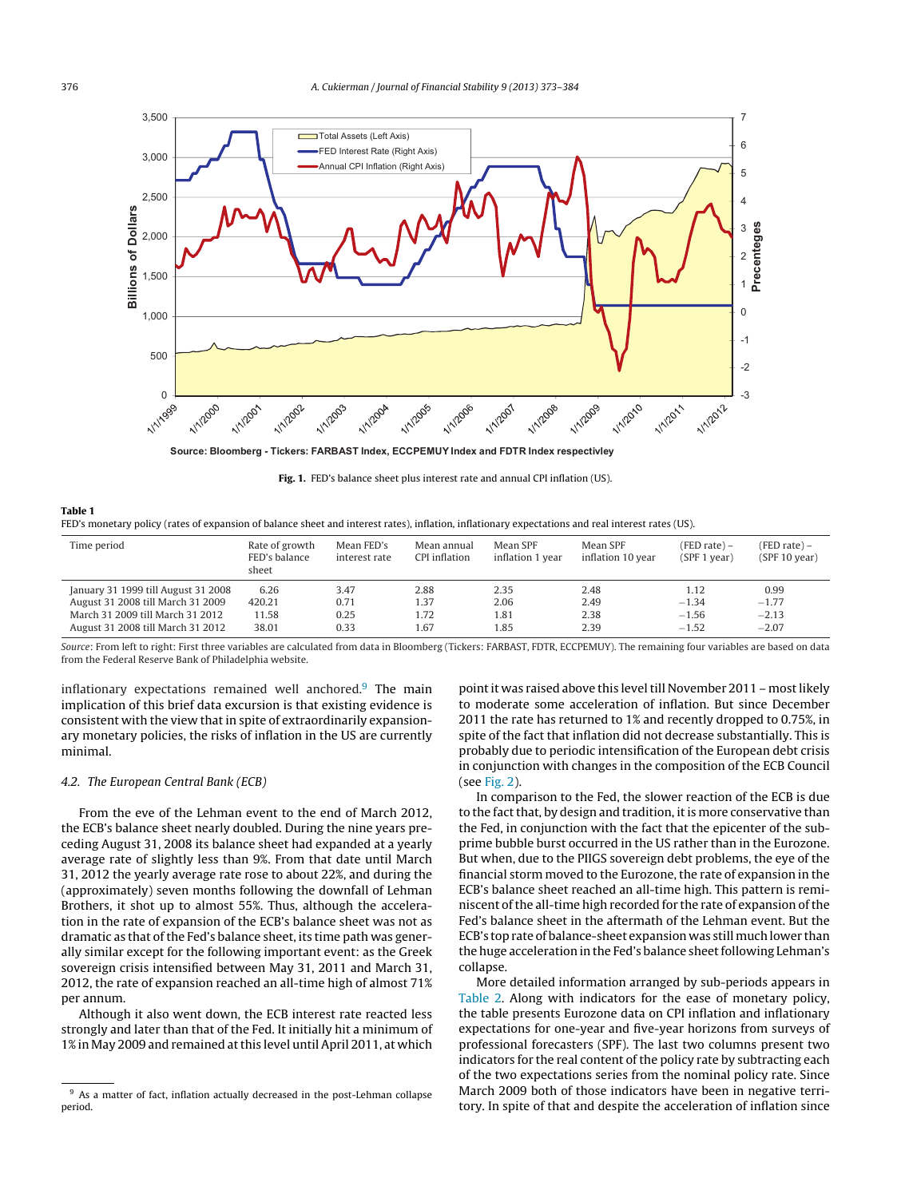<span id="page-3-0"></span>

**Source: Bloomberg - Tickers: FARBAST Index, ECCPEMUY Index and FDTR Index respectivley**

**Fig. 1.** FED's balance sheet plus interest rate and annual CPI inflation (US).

| <b>Table 1</b>                                                                                                                                     |
|----------------------------------------------------------------------------------------------------------------------------------------------------|
| FED's monetary policy (rates of expansion of balance sheet and interest rates), inflation, inflationary expectations and real interest rates (US). |

| Time period                         | Rate of growth<br>FED's balance<br>sheet | Mean FED's<br>interest rate | Mean annual<br>CPI inflation | Mean SPF<br>inflation 1 year | Mean SPF<br>inflation 10 year | (FED rate) –<br>(SPF 1 year) | $(FED rate) -$<br>(SPF 10 year) |
|-------------------------------------|------------------------------------------|-----------------------------|------------------------------|------------------------------|-------------------------------|------------------------------|---------------------------------|
| January 31 1999 till August 31 2008 | 6.26                                     | 3.47                        | 2.88                         | 2.35                         | 2.48                          | 1.12                         | 0.99                            |
| August 31 2008 till March 31 2009   | 420.21                                   | 0.71                        | 1.37                         | 2.06                         | 2.49                          | $-1.34$                      | $-1.77$                         |
| March 31 2009 till March 31 2012    | 11.58                                    | 0.25                        | 1.72                         | 1.81                         | 2.38                          | $-1.56$                      | $-2.13$                         |
| August 31 2008 till March 31 2012   | 38.01                                    | 0.33                        | 1.67                         | 1.85                         | 2.39                          | $-1.52$                      | $-2.07$                         |

Source: From left to right: First three variables are calculated from data in Bloomberg (Tickers: FARBAST, FDTR, ECCPEMUY). The remaining four variables are based on data from the Federal Reserve Bank of Philadelphia website.

inflationary expectations remained well anchored. $9$  The main implication of this brief data excursion is that existing evidence is consistent with the view that in spite of extraordinarily expansionary monetary policies, the risks of inflation in the US are currently minimal.

#### 4.2. The European Central Bank (ECB)

From the eve of the Lehman event to the end of March 2012, the ECB's balance sheet nearly doubled. During the nine years preceding August 31, 2008 its balance sheet had expanded at a yearly average rate of slightly less than 9%. From that date until March 31, 2012 the yearly average rate rose to about 22%, and during the (approximately) seven months following the downfall of Lehman Brothers, it shot up to almost 55%. Thus, although the acceleration in the rate of expansion of the ECB's balance sheet was not as dramatic as that of the Fed's balance sheet, its time path was generally similar except for the following important event: as the Greek sovereign crisis intensified between May 31, 2011 and March 31, 2012, the rate of expansion reached an all-time high of almost 71% per annum.

Although it also went down, the ECB interest rate reacted less strongly and later than that of the Fed. It initially hit a minimum of 1% in May 2009 and remained at this level until April 2011, at which point it was raised above this level till November 2011 – most likely to moderate some acceleration of inflation. But since December 2011 the rate has returned to 1% and recently dropped to 0.75%, in spite of the fact that inflation did not decrease substantially. This is probably due to periodic intensification of the European debt crisis in conjunction with changes in the composition of the ECB Council (see [Fig.](#page-4-0) 2).

In comparison to the Fed, the slower reaction of the ECB is due to the fact that, by design and tradition, it is more conservative than the Fed, in conjunction with the fact that the epicenter of the subprime bubble burst occurred in the US rather than in the Eurozone. But when, due to the PIIGS sovereign debt problems, the eye of the financial storm moved to the Eurozone, the rate of expansion in the ECB's balance sheet reached an all-time high. This pattern is reminiscent of the all-time high recorded for the rate of expansion of the Fed's balance sheet in the aftermath of the Lehman event. But the ECB's top rate of balance-sheet expansion was still much lower than the huge acceleration in the Fed's balance sheet following Lehman's collapse.

More detailed information arranged by sub-periods appears in [Table](#page-4-0) 2. Along with indicators for the ease of monetary policy, the table presents Eurozone data on CPI inflation and inflationary expectations for one-year and five-year horizons from surveys of professional forecasters (SPF). The last two columns present two indicators for the real content of the policy rate by subtracting each of the two expectations series from the nominal policy rate. Since March 2009 both of those indicators have been in negative territory. In spite of that and despite the acceleration of inflation since

 $9$  As a matter of fact, inflation actually decreased in the post-Lehman collapse period.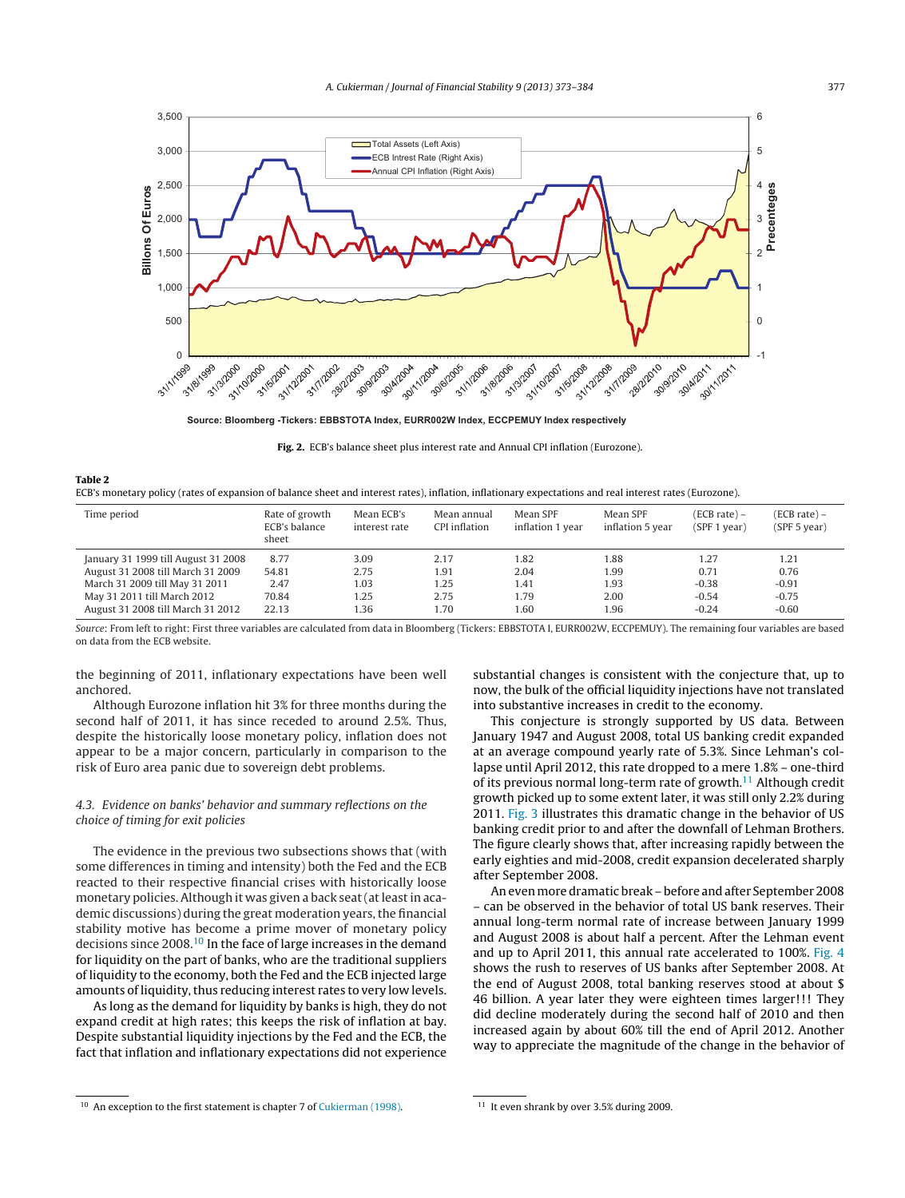<span id="page-4-0"></span>

**Source: Bloomberg -Tickers: EBBSTOTA Index, EURR002W Index, ECCPEMUY Index respectively**

**Fig. 2.** ECB's balance sheet plus interest rate and Annual CPI inflation (Eurozone).

| Table 2                                                                                                                                                  |
|----------------------------------------------------------------------------------------------------------------------------------------------------------|
| ECB's monetary policy (rates of expansion of balance sheet and interest rates), inflation, inflationary expectations and real interest rates (Eurozone). |

| Time period                         | Rate of growth<br>ECB's balance<br>sheet | Mean ECB's<br>interest rate | Mean annual<br>CPI inflation | Mean SPF<br>inflation 1 year | Mean SPF<br>inflation 5 year | $(ECB rate) -$<br>(SPF 1 year) | $(ECB rate) -$<br>(SPF 5 year) |
|-------------------------------------|------------------------------------------|-----------------------------|------------------------------|------------------------------|------------------------------|--------------------------------|--------------------------------|
| January 31 1999 till August 31 2008 | 8.77                                     | 3.09                        | 2.17                         | 1.82                         | 1.88                         | 1.27                           | 1.21                           |
| August 31 2008 till March 31 2009   | 54.81                                    | 2.75                        | 1.91                         | 2.04                         | 1.99                         | 0.71                           | 0.76                           |
| March 31 2009 till May 31 2011      | 2.47                                     | 1.03                        | 1.25                         | 1.41                         | 1.93                         | $-0.38$                        | $-0.91$                        |
| May 31 2011 till March 2012         | 70.84                                    | 1.25                        | 2.75                         | 1.79                         | 2.00                         | $-0.54$                        | $-0.75$                        |
| August 31 2008 till March 31 2012   | 22.13                                    | 1.36                        | 1.70                         | 1.60                         | 1.96                         | $-0.24$                        | $-0.60$                        |

Source: From left to right: First three variables are calculated from data in Bloomberg (Tickers: EBBSTOTA I, EURR002W, ECCPEMUY). The remaining four variables are based on data from the ECB website.

the beginning of 2011, inflationary expectations have been well anchored.

Although Eurozone inflation hit 3% for three months during the second half of 2011, it has since receded to around 2.5%. Thus, despite the historically loose monetary policy, inflation does not appear to be a major concern, particularly in comparison to the risk of Euro area panic due to sovereign debt problems.

## 4.3. Evidence on banks' behavior and summary reflections on the choice of timing for exit policies

The evidence in the previous two subsections shows that (with some differences in timing and intensity) both the Fed and the ECB reacted to their respective financial crises with historically loose monetary policies. Although it was given a back seat(atleastin academic discussions) during the great moderation years, the financial stability motive has become a prime mover of monetary policy decisions since 2008.10 In the face of large increases in the demand for liquidity on the part of banks, who are the traditional suppliers of liquidity to the economy, both the Fed and the ECB injected large amounts of liquidity, thus reducing interest rates to very low levels.

As long as the demand for liquidity by banks is high, they do not expand credit at high rates; this keeps the risk of inflation at bay. Despite substantial liquidity injections by the Fed and the ECB, the fact that inflation and inflationary expectations did not experience

substantial changes is consistent with the conjecture that, up to now, the bulk of the official liquidity injections have not translated into substantive increases in credit to the economy.

This conjecture is strongly supported by US data. Between January 1947 and August 2008, total US banking credit expanded at an average compound yearly rate of 5.3%. Since Lehman's collapse until April 2012, this rate dropped to a mere 1.8% – one-third of its previous normal long-term rate of growth. $11$  Although credit growth picked up to some extent later, it was still only 2.2% during 2011. [Fig.](#page-5-0) 3 illustrates this dramatic change in the behavior of US banking credit prior to and after the downfall of Lehman Brothers. The figure clearly shows that, after increasing rapidly between the early eighties and mid-2008, credit expansion decelerated sharply after September 2008.

An even more dramatic break – before and after September 2008 – can be observed in the behavior of total US bank reserves. Their annual long-term normal rate of increase between January 1999 and August 2008 is about half a percent. After the Lehman event and up to April 2011, this annual rate accelerated to 100%. [Fig.](#page-5-0) 4 shows the rush to reserves of US banks after September 2008. At the end of August 2008, total banking reserves stood at about \$ 46 billion. A year later they were eighteen times larger!!! They did decline moderately during the second half of 2010 and then increased again by about 60% till the end of April 2012. Another way to appreciate the magnitude of the change in the behavior of

<sup>&</sup>lt;sup>10</sup> An exception to the first statement is chapter 7 of [Cukierman](#page-10-0) [\(1998\).](#page-10-0)

<sup>&</sup>lt;sup>11</sup> It even shrank by over 3.5% during 2009.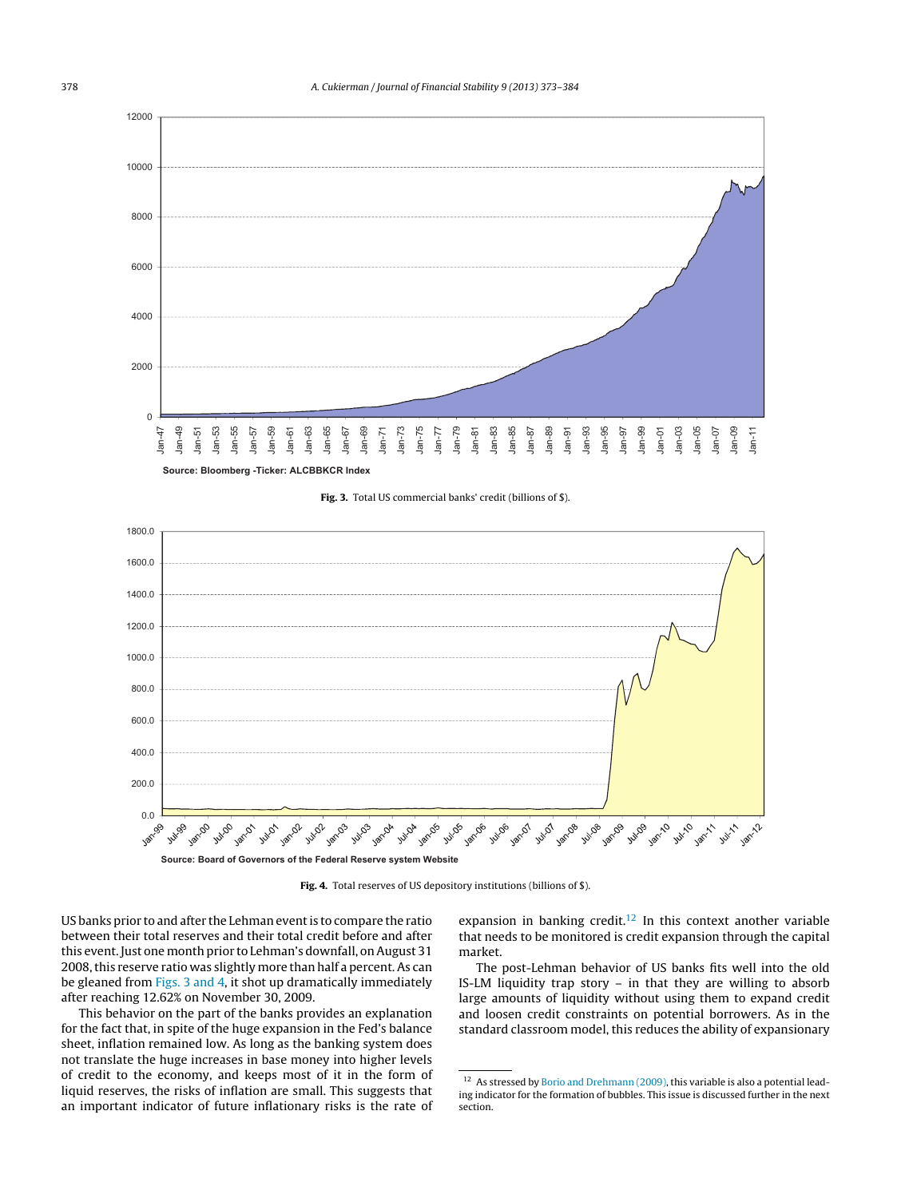<span id="page-5-0"></span>





**Fig. 4.** Total reserves of US depository institutions (billions of \$).

US banks prior to and after the Lehman event is to compare the ratio between their total reserves and their total credit before and after this event. Just one month prior to Lehman's downfall, on August 31 2008, this reserve ratio was slightly more than half a percent. As can be gleaned from Figs. 3 and 4, it shot up dramatically immediately after reaching 12.62% on November 30, 2009.

This behavior on the part of the banks provides an explanation for the fact that, in spite of the huge expansion in the Fed's balance sheet, inflation remained low. As long as the banking system does not translate the huge increases in base money into higher levels of credit to the economy, and keeps most of it in the form of liquid reserves, the risks of inflation are small. This suggests that an important indicator of future inflationary risks is the rate of expansion in banking credit.<sup>12</sup> In this context another variable that needs to be monitored is credit expansion through the capital market.

The post-Lehman behavior of US banks fits well into the old IS-LM liquidity trap story – in that they are willing to absorb large amounts of liquidity without using them to expand credit and loosen credit constraints on potential borrowers. As in the standard classroom model, this reduces the ability of expansionary

<sup>12</sup> As stressed by [Borio](#page-10-0) [and](#page-10-0) [Drehmann](#page-10-0) [\(2009\),](#page-10-0) this variable is also a potential leading indicator for the formation of bubbles. This issue is discussed further in the next section.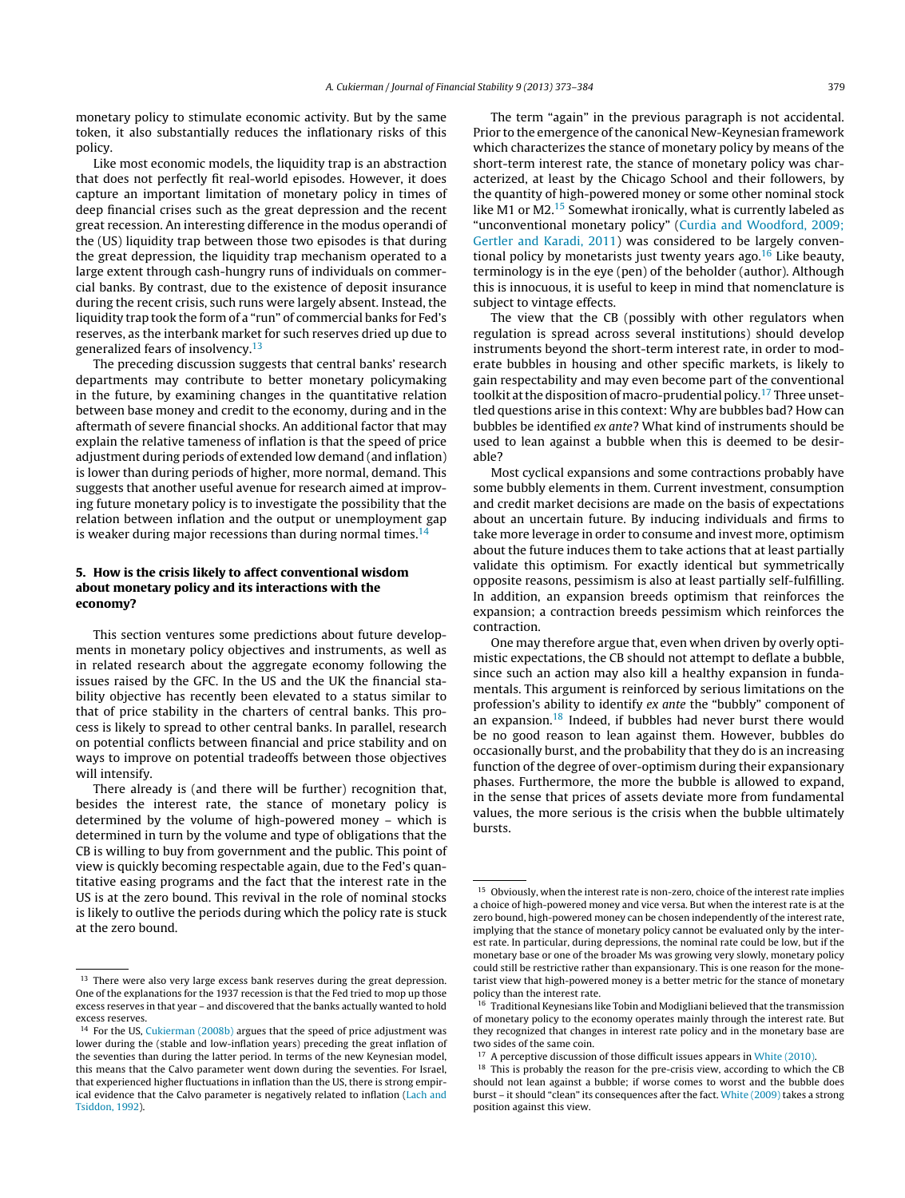<span id="page-6-0"></span>monetary policy to stimulate economic activity. But by the same token, it also substantially reduces the inflationary risks of this policy.

Like most economic models, the liquidity trap is an abstraction that does not perfectly fit real-world episodes. However, it does capture an important limitation of monetary policy in times of deep financial crises such as the great depression and the recent great recession. An interesting difference in the modus operandi of the (US) liquidity trap between those two episodes is that during the great depression, the liquidity trap mechanism operated to a large extent through cash-hungry runs of individuals on commercial banks. By contrast, due to the existence of deposit insurance during the recent crisis, such runs were largely absent. Instead, the liquidity trap took the form of a "run" of commercial banks for Fed's reserves, as the interbank market for such reserves dried up due to generalized fears of insolvency.13

The preceding discussion suggests that central banks' research departments may contribute to better monetary policymaking in the future, by examining changes in the quantitative relation between base money and credit to the economy, during and in the aftermath of severe financial shocks. An additional factor that may explain the relative tameness of inflation is that the speed of price adjustment during periods of extended low demand (and inflation) is lower than during periods of higher, more normal, demand. This suggests that another useful avenue for research aimed at improving future monetary policy is to investigate the possibility that the relation between inflation and the output or unemployment gap is weaker during major recessions than during normal times. $14$ 

## **5. How is the crisis likely to affect conventional wisdom about monetary policy and its interactions with the economy?**

This section ventures some predictions about future developments in monetary policy objectives and instruments, as well as in related research about the aggregate economy following the issues raised by the GFC. In the US and the UK the financial stability objective has recently been elevated to a status similar to that of price stability in the charters of central banks. This process is likely to spread to other central banks. In parallel, research on potential conflicts between financial and price stability and on ways to improve on potential tradeoffs between those objectives will intensify.

There already is (and there will be further) recognition that, besides the interest rate, the stance of monetary policy is determined by the volume of high-powered money – which is determined in turn by the volume and type of obligations that the CB is willing to buy from government and the public. This point of view is quickly becoming respectable again, due to the Fed's quantitative easing programs and the fact that the interest rate in the US is at the zero bound. This revival in the role of nominal stocks is likely to outlive the periods during which the policy rate is stuck at the zero bound.

The term "again" in the previous paragraph is not accidental. Prior to the emergence of the canonical New-Keynesian framework which characterizes the stance of monetary policy by means of the short-term interest rate, the stance of monetary policy was characterized, at least by the Chicago School and their followers, by the quantity of high-powered money or some other nominal stock like M1 or M2.<sup>15</sup> Somewhat ironically, what is currently labeled as "unconventional monetary policy" [\(Curdia](#page-10-0) [and](#page-10-0) [Woodford,](#page-10-0) [2009;](#page-10-0) [Gertler](#page-10-0) [and](#page-10-0) [Karadi,](#page-10-0) [2011\)](#page-10-0) was considered to be largely conventional policy by monetarists just twenty years ago. $16$  Like beauty, terminology is in the eye (pen) of the beholder (author). Although this is innocuous, it is useful to keep in mind that nomenclature is subject to vintage effects.

The view that the CB (possibly with other regulators when regulation is spread across several institutions) should develop instruments beyond the short-term interest rate, in order to moderate bubbles in housing and other specific markets, is likely to gain respectability and may even become part of the conventional toolkit at the disposition of macro-prudential policy.<sup>17</sup> Three unsettled questions arise in this context: Why are bubbles bad? How can bubbles be identified ex ante? What kind of instruments should be used to lean against a bubble when this is deemed to be desirable?

Most cyclical expansions and some contractions probably have some bubbly elements in them. Current investment, consumption and credit market decisions are made on the basis of expectations about an uncertain future. By inducing individuals and firms to take more leverage in order to consume and invest more, optimism about the future induces them to take actions that at least partially validate this optimism. For exactly identical but symmetrically opposite reasons, pessimism is also at least partially self-fulfilling. In addition, an expansion breeds optimism that reinforces the expansion; a contraction breeds pessimism which reinforces the contraction.

One may therefore argue that, even when driven by overly optimistic expectations, the CB should not attempt to deflate a bubble, since such an action may also kill a healthy expansion in fundamentals. This argument is reinforced by serious limitations on the profession's ability to identify ex ante the "bubbly" component of an expansion.<sup>18</sup> Indeed, if bubbles had never burst there would be no good reason to lean against them. However, bubbles do occasionally burst, and the probability that they do is an increasing function of the degree of over-optimism during their expansionary phases. Furthermore, the more the bubble is allowed to expand, in the sense that prices of assets deviate more from fundamental values, the more serious is the crisis when the bubble ultimately bursts.

 $^{13}$  There were also very large excess bank reserves during the great depression. One of the explanations for the 1937 recession is that the Fed tried to mop up those excess reserves in that year – and discovered that the banks actually wanted to hold excess reserves.

<sup>&</sup>lt;sup>14</sup> For the US, [Cukierman](#page-10-0) [\(2008b\)](#page-10-0) argues that the speed of price adjustment was lower during the (stable and low-inflation years) preceding the great inflation of the seventies than during the latter period. In terms of the new Keynesian model, this means that the Calvo parameter went down during the seventies. For Israel, that experienced higher fluctuations in inflation than the US, there is strong empirical evidence that the Calvo parameter is negatively related to inflation [\(Lach](#page-11-0) [and](#page-11-0) [Tsiddon,](#page-11-0) [1992\).](#page-11-0)

<sup>&</sup>lt;sup>15</sup> Obviously, when the interest rate is non-zero, choice of the interest rate implies a choice of high-powered money and vice versa. But when the interest rate is at the zero bound, high-powered money can be chosen independently of the interest rate, implying that the stance of monetary policy cannot be evaluated only by the interest rate. In particular, during depressions, the nominal rate could be low, but if the monetary base or one of the broader Ms was growing very slowly, monetary policy could still be restrictive rather than expansionary. This is one reason for the monetarist view that high-powered money is a better metric for the stance of monetary policy than the interest rate.

<sup>16</sup> Traditional Keynesians like Tobin and Modigliani believed thatthe transmission of monetary policy to the economy operates mainly through the interest rate. But they recognized that changes in interest rate policy and in the monetary base are two sides of the same coin.

<sup>&</sup>lt;sup>17</sup> A perceptive discussion of those difficult issues appears in [White](#page-11-0) [\(2010\).](#page-11-0)

<sup>&</sup>lt;sup>18</sup> This is probably the reason for the pre-crisis view, according to which the CB should not lean against a bubble; if worse comes to worst and the bubble does burst – it should "clean" its consequences after the fact. [White](#page-11-0) [\(2009\)](#page-11-0) takes a strong position against this view.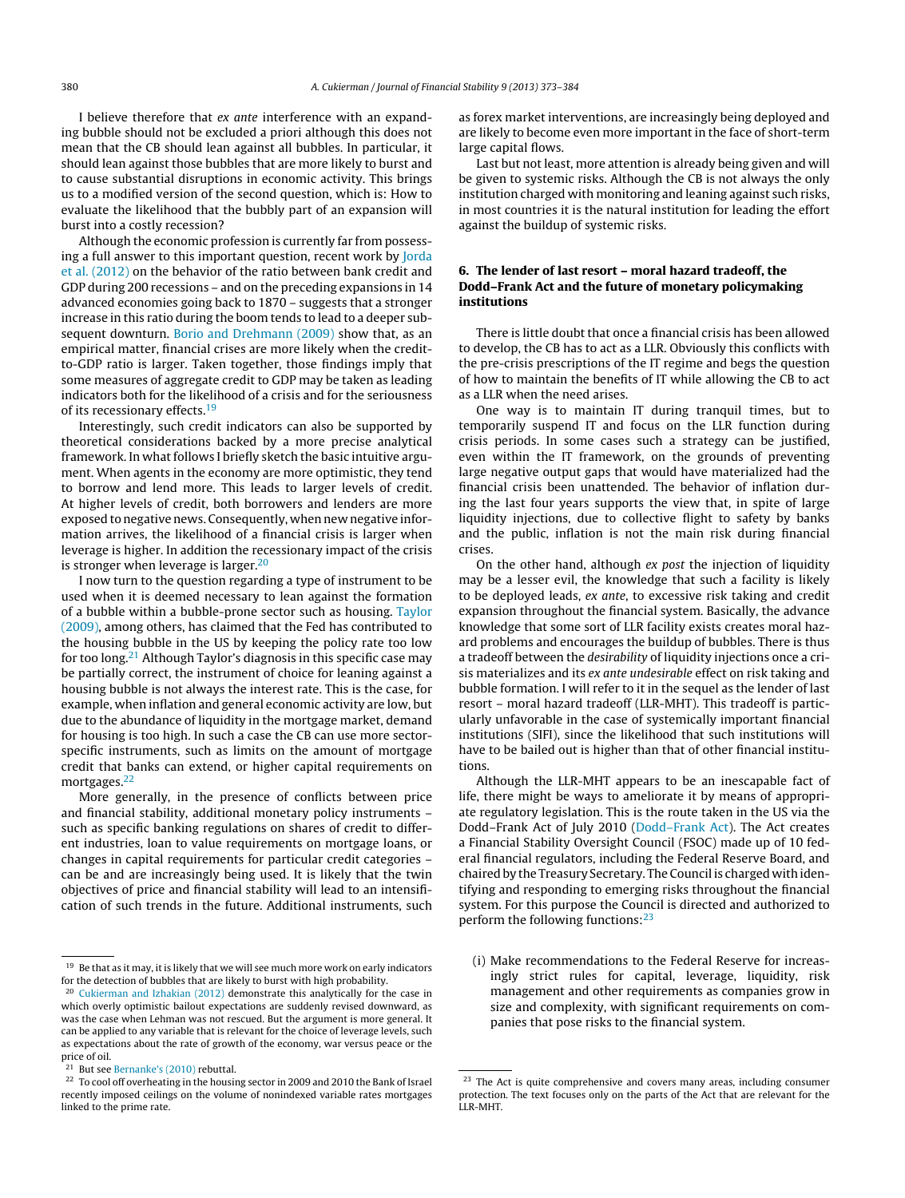<span id="page-7-0"></span>I believe therefore that ex ante interference with an expanding bubble should not be excluded a priori although this does not mean that the CB should lean against all bubbles. In particular, it should lean against those bubbles that are more likely to burst and to cause substantial disruptions in economic activity. This brings us to a modified version of the second question, which is: How to evaluate the likelihood that the bubbly part of an expansion will burst into a costly recession?

Although the economic profession is currently far from possessing a full answer to this important question, recent work by [Jorda](#page-11-0) et [al.](#page-11-0) [\(2012\)](#page-11-0) on the behavior of the ratio between bank credit and GDP during 200 recessions – and on the preceding expansions in 14 advanced economies going back to 1870 – suggests that a stronger increase in this ratio during the boom tends to lead to a deeper sub-sequent downturn. [Borio](#page-10-0) [and](#page-10-0) [Drehmann](#page-10-0) [\(2009\)](#page-10-0) show that, as an empirical matter, financial crises are more likely when the creditto-GDP ratio is larger. Taken together, those findings imply that some measures of aggregate credit to GDP may be taken as leading indicators both for the likelihood of a crisis and for the seriousness of its recessionary effects.<sup>19</sup>

Interestingly, such credit indicators can also be supported by theoretical considerations backed by a more precise analytical framework. In what follows I briefly sketch the basic intuitive argument. When agents in the economy are more optimistic, they tend to borrow and lend more. This leads to larger levels of credit. At higher levels of credit, both borrowers and lenders are more exposed to negative news. Consequently, when new negative information arrives, the likelihood of a financial crisis is larger when leverage is higher. In addition the recessionary impact of the crisis is stronger when leverage is larger.<sup>20</sup>

I now turn to the question regarding a type of instrument to be used when it is deemed necessary to lean against the formation of a bubble within a bubble-prone sector such as housing. [Taylor](#page-11-0) [\(2009\),](#page-11-0) among others, has claimed that the Fed has contributed to the housing bubble in the US by keeping the policy rate too low for too long.21 Although Taylor's diagnosis in this specific case may be partially correct, the instrument of choice for leaning against a housing bubble is not always the interest rate. This is the case, for example, when inflation and general economic activity are low, but due to the abundance of liquidity in the mortgage market, demand for housing is too high. In such a case the CB can use more sectorspecific instruments, such as limits on the amount of mortgage credit that banks can extend, or higher capital requirements on mortgages.<sup>22</sup>

More generally, in the presence of conflicts between price and financial stability, additional monetary policy instruments – such as specific banking regulations on shares of credit to different industries, loan to value requirements on mortgage loans, or changes in capital requirements for particular credit categories – can be and are increasingly being used. It is likely that the twin objectives of price and financial stability will lead to an intensification of such trends in the future. Additional instruments, such as forex market interventions, are increasingly being deployed and are likely to become even more important in the face of short-term large capital flows.

Last but not least, more attention is already being given and will be given to systemic risks. Although the CB is not always the only institution charged with monitoring and leaning against such risks, in most countries it is the natural institution for leading the effort against the buildup of systemic risks.

## **6. The lender of last resort – moral hazard tradeoff, the Dodd–Frank Act and the future of monetary policymaking institutions**

There is little doubt that once a financial crisis has been allowed to develop, the CB has to act as a LLR. Obviously this conflicts with the pre-crisis prescriptions of the IT regime and begs the question of how to maintain the benefits of IT while allowing the CB to act as a LLR when the need arises.

One way is to maintain IT during tranquil times, but to temporarily suspend IT and focus on the LLR function during crisis periods. In some cases such a strategy can be justified, even within the IT framework, on the grounds of preventing large negative output gaps that would have materialized had the financial crisis been unattended. The behavior of inflation during the last four years supports the view that, in spite of large liquidity injections, due to collective flight to safety by banks and the public, inflation is not the main risk during financial crises.

On the other hand, although ex post the injection of liquidity may be a lesser evil, the knowledge that such a facility is likely to be deployed leads, ex ante, to excessive risk taking and credit expansion throughout the financial system. Basically, the advance knowledge that some sort of LLR facility exists creates moral hazard problems and encourages the buildup of bubbles. There is thus a tradeoff between the desirability of liquidity injections once a crisis materializes and its ex ante undesirable effect on risk taking and bubble formation. I will refer to it in the sequel as the lender of last resort – moral hazard tradeoff (LLR-MHT). This tradeoff is particularly unfavorable in the case of systemically important financial institutions (SIFI), since the likelihood that such institutions will have to be bailed out is higher than that of other financial institutions.

Although the LLR-MHT appears to be an inescapable fact of life, there might be ways to ameliorate it by means of appropriate regulatory legislation. This is the route taken in the US via the Dodd–Frank Act of July 2010 ([Dodd–Frank](#page-11-0) [Act\).](#page-11-0) The Act creates a Financial Stability Oversight Council (FSOC) made up of 10 federal financial regulators, including the Federal Reserve Board, and chaired by the Treasury Secretary. The Council is charged with identifying and responding to emerging risks throughout the financial system. For this purpose the Council is directed and authorized to perform the following functions: $23$ 

(i) Make recommendations to the Federal Reserve for increasingly strict rules for capital, leverage, liquidity, risk management and other requirements as companies grow in size and complexity, with significant requirements on companies that pose risks to the financial system.

 $^{19}\,$  Be that as it may, it is likely that we will see much more work on early indicators for the detection of bubbles that are likely to burst with high probability.

<sup>&</sup>lt;sup>20</sup> [Cukierman](#page-10-0) [and](#page-10-0) [Izhakian](#page-10-0) [\(2012\)](#page-10-0) demonstrate this analytically for the case in which overly optimistic bailout expectations are suddenly revised downward, as was the case when Lehman was not rescued. But the argument is more general. It can be applied to any variable that is relevant for the choice of leverage levels, such as expectations about the rate of growth of the economy, war versus peace or the price of oil.

<sup>&</sup>lt;sup>21</sup> But see [Bernanke's](#page-10-0) [\(2010\)](#page-10-0) rebuttal.

 $^\mathrm{22}$  To cool off overheating in the housing sector in 2009 and 2010 the Bank of Israel recently imposed ceilings on the volume of nonindexed variable rates mortgages linked to the prime rate.

<sup>&</sup>lt;sup>23</sup> The Act is quite comprehensive and covers many areas, including consumer protection. The text focuses only on the parts of the Act that are relevant for the LLR-MHT.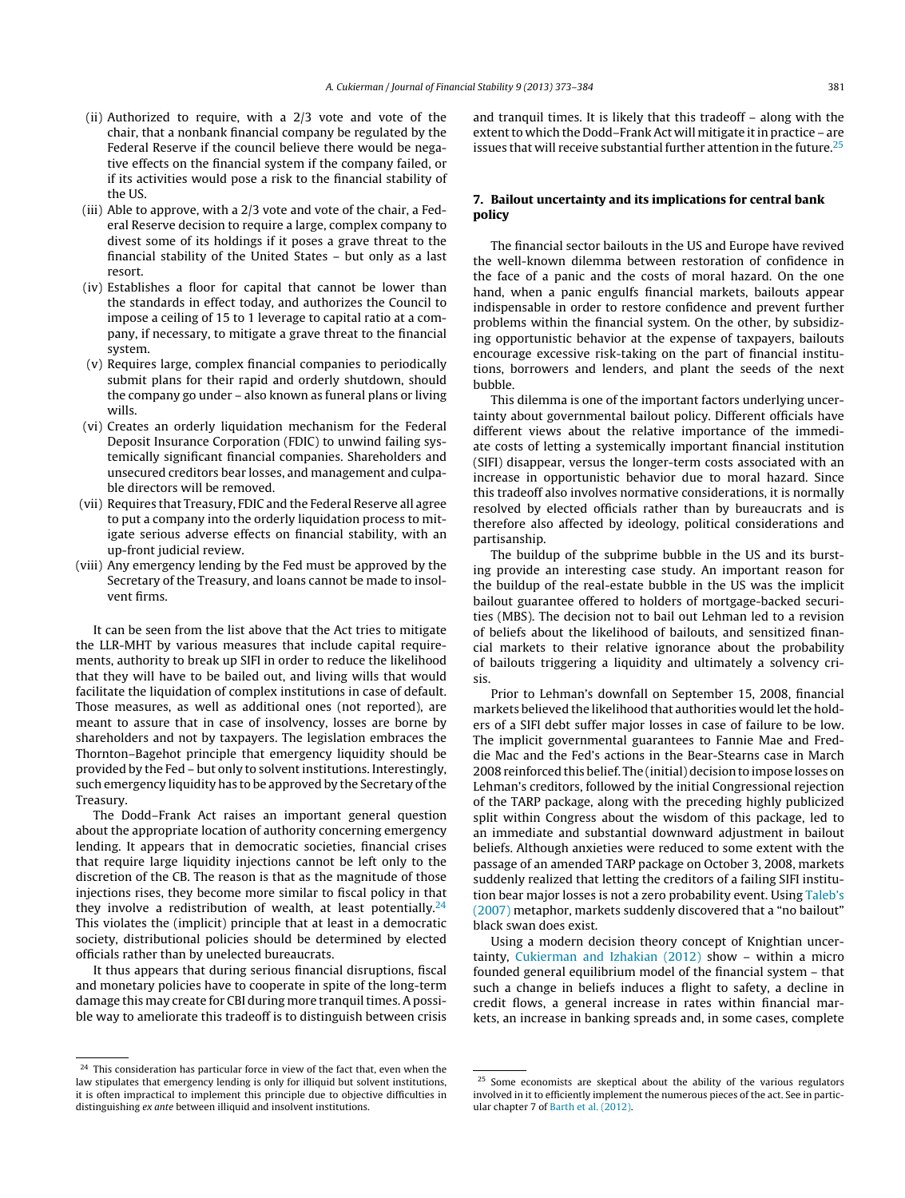- <span id="page-8-0"></span>(ii) Authorized to require, with a 2/3 vote and vote of the chair, that a nonbank financial company be regulated by the Federal Reserve if the council believe there would be negative effects on the financial system if the company failed, or if its activities would pose a risk to the financial stability of the US.
- (iii) Able to approve, with a 2/3 vote and vote of the chair, a Federal Reserve decision to require a large, complex company to divest some of its holdings if it poses a grave threat to the financial stability of the United States – but only as a last resort.
- (iv) Establishes a floor for capital that cannot be lower than the standards in effect today, and authorizes the Council to impose a ceiling of 15 to 1 leverage to capital ratio at a company, if necessary, to mitigate a grave threat to the financial system.
- (v) Requires large, complex financial companies to periodically submit plans for their rapid and orderly shutdown, should the company go under – also known as funeral plans or living wills.
- (vi) Creates an orderly liquidation mechanism for the Federal Deposit Insurance Corporation (FDIC) to unwind failing systemically significant financial companies. Shareholders and unsecured creditors bear losses, and management and culpable directors will be removed.
- (vii) Requires that Treasury, FDIC and the Federal Reserve all agree to put a company into the orderly liquidation process to mitigate serious adverse effects on financial stability, with an up-front judicial review.
- (viii) Any emergency lending by the Fed must be approved by the Secretary of the Treasury, and loans cannot be made to insolvent firms.

It can be seen from the list above that the Act tries to mitigate the LLR-MHT by various measures that include capital requirements, authority to break up SIFI in order to reduce the likelihood that they will have to be bailed out, and living wills that would facilitate the liquidation of complex institutions in case of default. Those measures, as well as additional ones (not reported), are meant to assure that in case of insolvency, losses are borne by shareholders and not by taxpayers. The legislation embraces the Thornton–Bagehot principle that emergency liquidity should be provided by the Fed – but only to solventinstitutions. Interestingly, such emergency liquidity has to be approved by the Secretary of the Treasury.

The Dodd–Frank Act raises an important general question about the appropriate location of authority concerning emergency lending. It appears that in democratic societies, financial crises that require large liquidity injections cannot be left only to the discretion of the CB. The reason is that as the magnitude of those injections rises, they become more similar to fiscal policy in that they involve a redistribution of wealth, at least potentially. $24$ This violates the (implicit) principle that at least in a democratic society, distributional policies should be determined by elected officials rather than by unelected bureaucrats.

It thus appears that during serious financial disruptions, fiscal and monetary policies have to cooperate in spite of the long-term damage this may create for CBI during more tranquil times. A possible way to ameliorate this tradeoff is to distinguish between crisis and tranquil times. It is likely that this tradeoff – along with the extent to which the Dodd–Frank Act will mitigate it in practice – are issues that will receive substantial further attention in the future. $25$ 

## **7. Bailout uncertainty and its implications for central bank policy**

The financial sector bailouts in the US and Europe have revived the well-known dilemma between restoration of confidence in the face of a panic and the costs of moral hazard. On the one hand, when a panic engulfs financial markets, bailouts appear indispensable in order to restore confidence and prevent further problems within the financial system. On the other, by subsidizing opportunistic behavior at the expense of taxpayers, bailouts encourage excessive risk-taking on the part of financial institutions, borrowers and lenders, and plant the seeds of the next bubble.

This dilemma is one of the important factors underlying uncertainty about governmental bailout policy. Different officials have different views about the relative importance of the immediate costs of letting a systemically important financial institution (SIFI) disappear, versus the longer-term costs associated with an increase in opportunistic behavior due to moral hazard. Since this tradeoff also involves normative considerations, it is normally resolved by elected officials rather than by bureaucrats and is therefore also affected by ideology, political considerations and partisanship.

The buildup of the subprime bubble in the US and its bursting provide an interesting case study. An important reason for the buildup of the real-estate bubble in the US was the implicit bailout guarantee offered to holders of mortgage-backed securities (MBS). The decision not to bail out Lehman led to a revision of beliefs about the likelihood of bailouts, and sensitized financial markets to their relative ignorance about the probability of bailouts triggering a liquidity and ultimately a solvency crisis.

Prior to Lehman's downfall on September 15, 2008, financial markets believed the likelihood that authorities would letthe holders of a SIFI debt suffer major losses in case of failure to be low. The implicit governmental guarantees to Fannie Mae and Freddie Mac and the Fed's actions in the Bear-Stearns case in March 2008 reinforced this belief. The (initial) decision to impose losses on Lehman's creditors, followed by the initial Congressional rejection of the TARP package, along with the preceding highly publicized split within Congress about the wisdom of this package, led to an immediate and substantial downward adjustment in bailout beliefs. Although anxieties were reduced to some extent with the passage of an amended TARP package on October 3, 2008, markets suddenly realized that letting the creditors of a failing SIFI institution bear major losses is not a zero probability event. Using [Taleb's](#page-11-0) [\(2007\)](#page-11-0) metaphor, markets suddenly discovered that a "no bailout" black swan does exist.

Using a modern decision theory concept of Knightian uncertainty, [Cukierman](#page-10-0) [and](#page-10-0) [Izhakian](#page-10-0) [\(2012\)](#page-10-0) show – within a micro founded general equilibrium model of the financial system – that such a change in beliefs induces a flight to safety, a decline in credit flows, a general increase in rates within financial markets, an increase in banking spreads and, in some cases, complete

<sup>&</sup>lt;sup>24</sup> This consideration has particular force in view of the fact that, even when the law stipulates that emergency lending is only for illiquid but solvent institutions, it is often impractical to implement this principle due to objective difficulties in distinguishing ex ante between illiquid and insolvent institutions.

<sup>&</sup>lt;sup>25</sup> Some economists are skeptical about the ability of the various regulators involved in it to efficiently implement the numerous pieces of the act. See in particular chapter 7 of [Barth](#page-10-0) et [al.](#page-10-0) [\(2012\).](#page-10-0)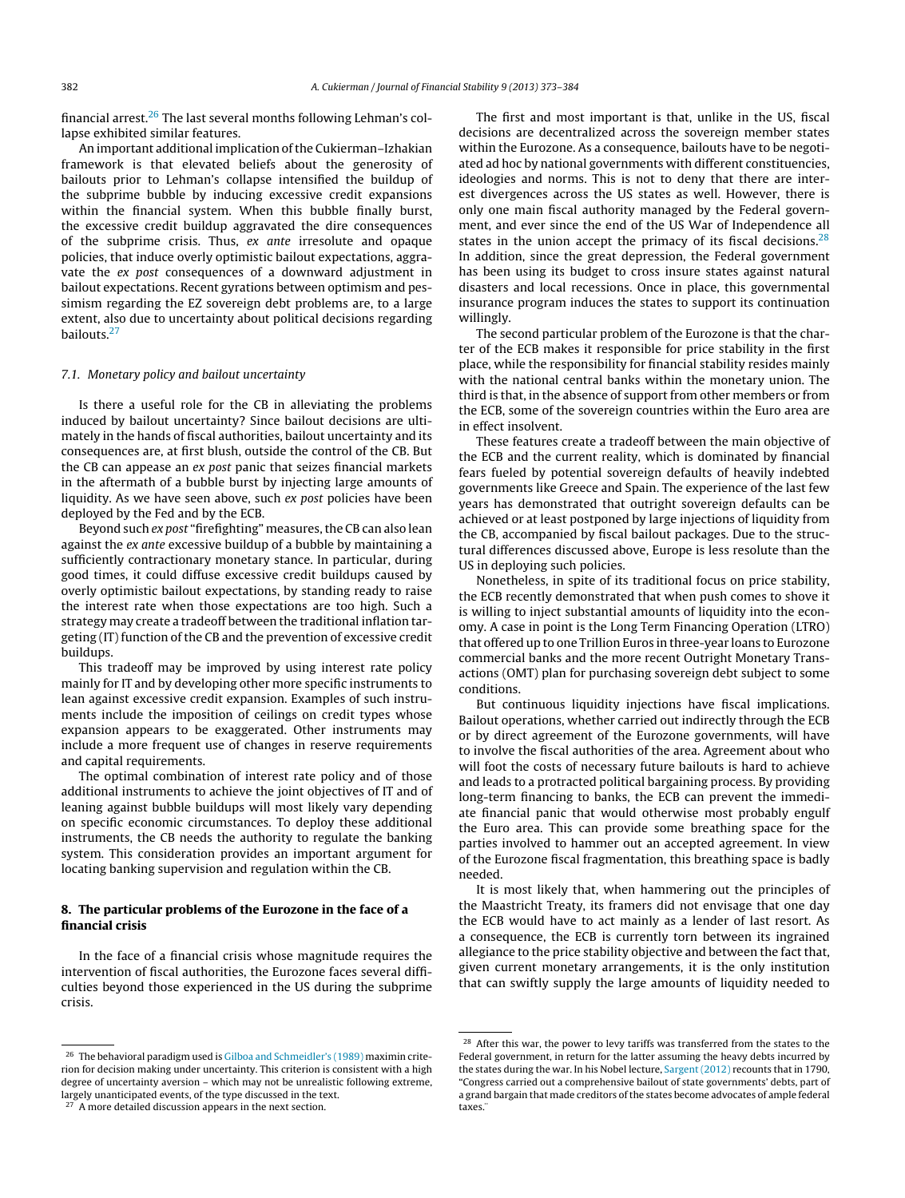<span id="page-9-0"></span>financial arrest. $26$  The last several months following Lehman's collapse exhibited similar features.

An important additional implication ofthe Cukierman–Izhakian framework is that elevated beliefs about the generosity of bailouts prior to Lehman's collapse intensified the buildup of the subprime bubble by inducing excessive credit expansions within the financial system. When this bubble finally burst, the excessive credit buildup aggravated the dire consequences of the subprime crisis. Thus, ex ante irresolute and opaque policies, that induce overly optimistic bailout expectations, aggravate the ex post consequences of a downward adjustment in bailout expectations. Recent gyrations between optimism and pessimism regarding the EZ sovereign debt problems are, to a large extent, also due to uncertainty about political decisions regarding bailouts.27

#### 7.1. Monetary policy and bailout uncertainty

Is there a useful role for the CB in alleviating the problems induced by bailout uncertainty? Since bailout decisions are ultimately in the hands of fiscal authorities, bailout uncertainty and its consequences are, at first blush, outside the control of the CB. But the CB can appease an ex post panic that seizes financial markets in the aftermath of a bubble burst by injecting large amounts of liquidity. As we have seen above, such ex post policies have been deployed by the Fed and by the ECB.

Beyond such ex post "firefighting" measures, the CB can also lean against the ex ante excessive buildup of a bubble by maintaining a sufficiently contractionary monetary stance. In particular, during good times, it could diffuse excessive credit buildups caused by overly optimistic bailout expectations, by standing ready to raise the interest rate when those expectations are too high. Such a strategy may create a tradeoff between the traditional inflation targeting (IT) function of the CB and the prevention of excessive credit buildups.

This tradeoff may be improved by using interest rate policy mainly for IT and by developing other more specific instruments to lean against excessive credit expansion. Examples of such instruments include the imposition of ceilings on credit types whose expansion appears to be exaggerated. Other instruments may include a more frequent use of changes in reserve requirements and capital requirements.

The optimal combination of interest rate policy and of those additional instruments to achieve the joint objectives of IT and of leaning against bubble buildups will most likely vary depending on specific economic circumstances. To deploy these additional instruments, the CB needs the authority to regulate the banking system. This consideration provides an important argument for locating banking supervision and regulation within the CB.

## **8. The particular problems of the Eurozone in the face of a financial crisis**

In the face of a financial crisis whose magnitude requires the intervention of fiscal authorities, the Eurozone faces several difficulties beyond those experienced in the US during the subprime crisis.

The first and most important is that, unlike in the US, fiscal decisions are decentralized across the sovereign member states within the Eurozone. As a consequence, bailouts have to be negotiated ad hoc by national governments with different constituencies, ideologies and norms. This is not to deny that there are interest divergences across the US states as well. However, there is only one main fiscal authority managed by the Federal government, and ever since the end of the US War of Independence all states in the union accept the primacy of its fiscal decisions. $28$ In addition, since the great depression, the Federal government has been using its budget to cross insure states against natural disasters and local recessions. Once in place, this governmental insurance program induces the states to support its continuation willingly.

The second particular problem of the Eurozone is that the charter of the ECB makes it responsible for price stability in the first place, while the responsibility for financial stability resides mainly with the national central banks within the monetary union. The third is that, in the absence of support from other members or from the ECB, some of the sovereign countries within the Euro area are in effect insolvent.

These features create a tradeoff between the main objective of the ECB and the current reality, which is dominated by financial fears fueled by potential sovereign defaults of heavily indebted governments like Greece and Spain. The experience of the last few years has demonstrated that outright sovereign defaults can be achieved or at least postponed by large injections of liquidity from the CB, accompanied by fiscal bailout packages. Due to the structural differences discussed above, Europe is less resolute than the US in deploying such policies.

Nonetheless, in spite of its traditional focus on price stability, the ECB recently demonstrated that when push comes to shove it is willing to inject substantial amounts of liquidity into the economy. A case in point is the Long Term Financing Operation (LTRO) that offered up to one Trillion Euros in three-year loans to Eurozone commercial banks and the more recent Outright Monetary Transactions (OMT) plan for purchasing sovereign debt subject to some conditions.

But continuous liquidity injections have fiscal implications. Bailout operations, whether carried out indirectly through the ECB or by direct agreement of the Eurozone governments, will have to involve the fiscal authorities of the area. Agreement about who will foot the costs of necessary future bailouts is hard to achieve and leads to a protracted political bargaining process. By providing long-term financing to banks, the ECB can prevent the immediate financial panic that would otherwise most probably engulf the Euro area. This can provide some breathing space for the parties involved to hammer out an accepted agreement. In view of the Eurozone fiscal fragmentation, this breathing space is badly needed.

It is most likely that, when hammering out the principles of the Maastricht Treaty, its framers did not envisage that one day the ECB would have to act mainly as a lender of last resort. As a consequence, the ECB is currently torn between its ingrained allegiance to the price stability objective and between the fact that, given current monetary arrangements, it is the only institution that can swiftly supply the large amounts of liquidity needed to

<sup>&</sup>lt;sup>26</sup> The behavioral paradigm used is [Gilboa](#page-11-0) [and](#page-11-0) [Schmeidler's](#page-11-0) [\(1989\)](#page-11-0) maximin criterion for decision making under uncertainty. This criterion is consistent with a high degree of uncertainty aversion – which may not be unrealistic following extreme, largely unanticipated events, of the type discussed in the text.

 $27$  A more detailed discussion appears in the next section.

 $^{28}$  After this war, the power to levy tariffs was transferred from the states to the Federal government, in return for the latter assuming the heavy debts incurred by the states during the war. In his Nobel lecture, [Sargent](#page-11-0) [\(2012\)](#page-11-0) recounts that in 1790, "Congress carried out a comprehensive bailout of state governments' debts, part of a grand bargain that made creditors of the states become advocates of ample federal taxes.¨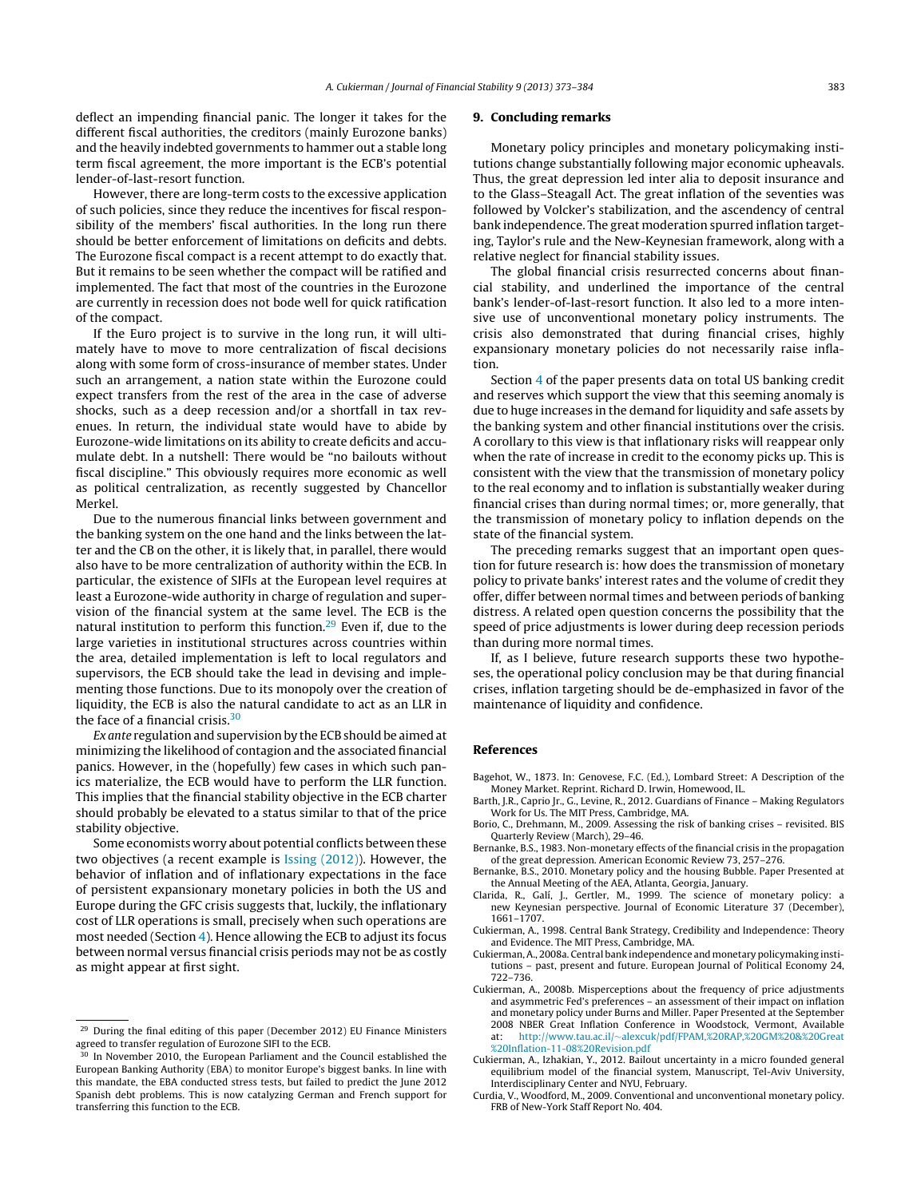<span id="page-10-0"></span>deflect an impending financial panic. The longer it takes for the different fiscal authorities, the creditors (mainly Eurozone banks) and the heavily indebted governments to hammer out a stable long term fiscal agreement, the more important is the ECB's potential lender-of-last-resort function.

However, there are long-term costs to the excessive application of such policies, since they reduce the incentives for fiscal responsibility of the members' fiscal authorities. In the long run there should be better enforcement of limitations on deficits and debts. The Eurozone fiscal compact is a recent attempt to do exactly that. But it remains to be seen whether the compact will be ratified and implemented. The fact that most of the countries in the Eurozone are currently in recession does not bode well for quick ratification of the compact.

If the Euro project is to survive in the long run, it will ultimately have to move to more centralization of fiscal decisions along with some form of cross-insurance of member states. Under such an arrangement, a nation state within the Eurozone could expect transfers from the rest of the area in the case of adverse shocks, such as a deep recession and/or a shortfall in tax revenues. In return, the individual state would have to abide by Eurozone-wide limitations on its ability to create deficits and accumulate debt. In a nutshell: There would be "no bailouts without fiscal discipline." This obviously requires more economic as well as political centralization, as recently suggested by Chancellor Merkel.

Due to the numerous financial links between government and the banking system on the one hand and the links between the latter and the CB on the other, it is likely that, in parallel, there would also have to be more centralization of authority within the ECB. In particular, the existence of SIFIs at the European level requires at least a Eurozone-wide authority in charge of regulation and supervision of the financial system at the same level. The ECB is the natural institution to perform this function.29 Even if, due to the large varieties in institutional structures across countries within the area, detailed implementation is left to local regulators and supervisors, the ECB should take the lead in devising and implementing those functions. Due to its monopoly over the creation of liquidity, the ECB is also the natural candidate to act as an LLR in the face of a financial crisis.<sup>30</sup>

Ex ante regulation and supervision by the ECB should be aimed at minimizing the likelihood of contagion and the associated financial panics. However, in the (hopefully) few cases in which such panics materialize, the ECB would have to perform the LLR function. This implies that the financial stability objective in the ECB charter should probably be elevated to a status similar to that of the price stability objective.

Some economists worry about potential conflicts between these two objectives (a recent example is [Issing](#page-11-0) [\(2012\)\).](#page-11-0) However, the behavior of inflation and of inflationary expectations in the face of persistent expansionary monetary policies in both the US and Europe during the GFC crisis suggests that, luckily, the inflationary cost of LLR operations is small, precisely when such operations are most needed (Section [4\).](#page-2-0) Hence allowing the ECB to adjust its focus between normal versus financial crisis periods may not be as costly as might appear at first sight.

#### **9. Concluding remarks**

Monetary policy principles and monetary policymaking institutions change substantially following major economic upheavals. Thus, the great depression led inter alia to deposit insurance and to the Glass–Steagall Act. The great inflation of the seventies was followed by Volcker's stabilization, and the ascendency of central bank independence. The great moderation spurred inflation targeting, Taylor's rule and the New-Keynesian framework, along with a relative neglect for financial stability issues.

The global financial crisis resurrected concerns about financial stability, and underlined the importance of the central bank's lender-of-last-resort function. It also led to a more intensive use of unconventional monetary policy instruments. The crisis also demonstrated that during financial crises, highly expansionary monetary policies do not necessarily raise inflation.

Section [4](#page-2-0) of the paper presents data on total US banking credit and reserves which support the view that this seeming anomaly is due to huge increases in the demand for liquidity and safe assets by the banking system and other financial institutions over the crisis. A corollary to this view is that inflationary risks will reappear only when the rate of increase in credit to the economy picks up. This is consistent with the view that the transmission of monetary policy to the real economy and to inflation is substantially weaker during financial crises than during normal times; or, more generally, that the transmission of monetary policy to inflation depends on the state of the financial system.

The preceding remarks suggest that an important open question for future research is: how does the transmission of monetary policy to private banks' interest rates and the volume of credit they offer, differ between normal times and between periods of banking distress. A related open question concerns the possibility that the speed of price adjustments is lower during deep recession periods than during more normal times.

If, as I believe, future research supports these two hypotheses, the operational policy conclusion may be that during financial crises, inflation targeting should be de-emphasized in favor of the maintenance of liquidity and confidence.

#### **References**

- Bagehot, W., 1873. In: Genovese, F.C. (Ed.), Lombard Street: A Description of the Money Market. Reprint. Richard D. Irwin, Homewood, IL.
- Barth, J.R., Caprio Jr., G., Levine, R., 2012. Guardians of Finance Making Regulators Work for Us. The MIT Press, Cambridge, MA.
- Borio, C., Drehmann, M., 2009. Assessing the risk of banking crises revisited. BIS Quarterly Review (March), 29–46.
- Bernanke, B.S., 1983. Non-monetary effects of the financial crisis in the propagation of the great depression. American Economic Review 73, 257–276.
- Bernanke, B.S., 2010. Monetary policy and the housing Bubble. Paper Presented at the Annual Meeting of the AEA, Atlanta, Georgia, January.
- Clarida, R., Galí, J., Gertler, M., 1999. The science of monetary policy: a new Keynesian perspective. Journal of Economic Literature 37 (December), 1661–1707.
- Cukierman, A., 1998. Central Bank Strategy, Credibility and Independence: Theory and Evidence. The MIT Press, Cambridge, MA.
- Cukierman,A., 2008a. Central bank independence and monetary policymaking institutions – past, present and future. European Journal of Political Economy 24, 722–736.
- Cukierman, A., 2008b. Misperceptions about the frequency of price adjustments and asymmetric Fed's preferences – an assessment of their impact on inflation and monetary policy under Burns and Miller. Paper Presented at the September 2008 NBER Great Inflation Conference in Woodstock, Vermont, Available at: http://www.tau.ac.il/∼[alexcuk/pdf/FPAM,%20RAP,%20GM%20&%20Grea](http://www.tau.ac.il/~alexcuk/pdf/FPAM, RAP, GM & Great Inflation-11-08 Revision.pdf)t [%20Inflation-11-08%20Revision.pdf](http://www.tau.ac.il/~alexcuk/pdf/FPAM, RAP, GM & Great Inflation-11-08 Revision.pdf)
- Cukierman, A., Izhakian, Y., 2012. Bailout uncertainty in a micro founded general equilibrium model of the financial system, Manuscript, Tel-Aviv University, Interdisciplinary Center and NYU, February.
- Curdia, V., Woodford, M., 2009. Conventional and unconventional monetary policy. FRB of New-York Staff Report No. 404.

<sup>29</sup> During the final editing of this paper (December 2012) EU Finance Ministers agreed to transfer regulation of Eurozone SIFI to the ECB.

In November 2010, the European Parliament and the Council established the European Banking Authority (EBA) to monitor Europe's biggest banks. In line with this mandate, the EBA conducted stress tests, but failed to predict the June 2012 Spanish debt problems. This is now catalyzing German and French support for transferring this function to the ECB.